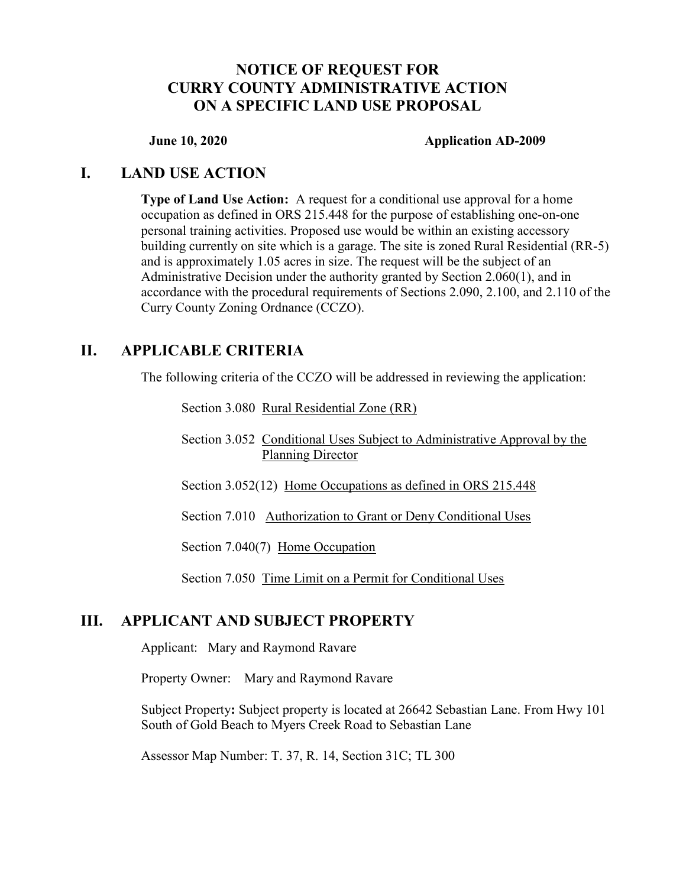## NOTICE OF REQUEST FOR CURRY COUNTY ADMINISTRATIVE ACTION ON A SPECIFIC LAND USE PROPOSAL

#### June 10, 2020 Application AD-2009

### I. LAND USE ACTION

Type of Land Use Action: A request for a conditional use approval for a home occupation as defined in ORS 215.448 for the purpose of establishing one-on-one personal training activities. Proposed use would be within an existing accessory building currently on site which is a garage. The site is zoned Rural Residential (RR-5) and is approximately 1.05 acres in size. The request will be the subject of an Administrative Decision under the authority granted by Section 2.060(1), and in accordance with the procedural requirements of Sections 2.090, 2.100, and 2.110 of the Curry County Zoning Ordnance (CCZO).

## II. APPLICABLE CRITERIA

The following criteria of the CCZO will be addressed in reviewing the application:

Section 3.080 Rural Residential Zone (RR)

Section 3.052 Conditional Uses Subject to Administrative Approval by the Planning Director

Section 3.052(12) Home Occupations as defined in ORS 215.448

Section 7.010 Authorization to Grant or Deny Conditional Uses

Section 7.040(7) Home Occupation

Section 7.050 Time Limit on a Permit for Conditional Uses

### III. APPLICANT AND SUBJECT PROPERTY

Applicant: Mary and Raymond Ravare

Property Owner: Mary and Raymond Ravare

Subject Property: Subject property is located at 26642 Sebastian Lane. From Hwy 101 South of Gold Beach to Myers Creek Road to Sebastian Lane

Assessor Map Number: T. 37, R. 14, Section 31C; TL 300